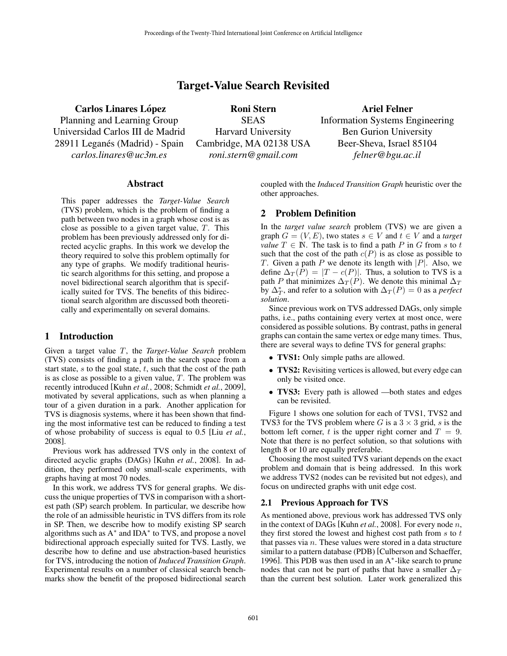# Target-Value Search Revisited

Carlos Linares López Planning and Learning Group Universidad Carlos III de Madrid 28911 Leganés (Madrid) - Spain *carlos.linares@uc3m.es*

Roni Stern SEAS Harvard University Cambridge, MA 02138 USA *roni.stern@gmail.com*

Ariel Felner Information Systems Engineering Ben Gurion University Beer-Sheva, Israel 85104 *felner@bgu.ac.il*

## **Abstract**

This paper addresses the *Target-Value Search* (TVS) problem, which is the problem of finding a path between two nodes in a graph whose cost is as close as possible to a given target value, T. This problem has been previously addressed only for directed acyclic graphs. In this work we develop the theory required to solve this problem optimally for any type of graphs. We modify traditional heuristic search algorithms for this setting, and propose a novel bidirectional search algorithm that is specifically suited for TVS. The benefits of this bidirectional search algorithm are discussed both theoretically and experimentally on several domains.

## 1 Introduction

Given a target value T, the *Target-Value Search* problem (TVS) consists of finding a path in the search space from a start state,  $s$  to the goal state,  $t$ , such that the cost of the path is as close as possible to a given value,  $T$ . The problem was recently introduced [Kuhn *et al.*, 2008; Schmidt *et al.*, 2009], motivated by several applications, such as when planning a tour of a given duration in a park. Another application for TVS is diagnosis systems, where it has been shown that finding the most informative test can be reduced to finding a test of whose probability of success is equal to 0.5 [Liu *et al.*, 2008].

Previous work has addressed TVS only in the context of directed acyclic graphs (DAGs) [Kuhn *et al.*, 2008]. In addition, they performed only small-scale experiments, with graphs having at most 70 nodes.

In this work, we address TVS for general graphs. We discuss the unique properties of TVS in comparison with a shortest path (SP) search problem. In particular, we describe how the role of an admissible heuristic in TVS differs from its role in SP. Then, we describe how to modify existing SP search algorithms such as A<sup>∗</sup> and IDA<sup>∗</sup> to TVS, and propose a novel bidirectional approach especially suited for TVS. Lastly, we describe how to define and use abstraction-based heuristics for TVS, introducing the notion of *Induced Transition Graph*. Experimental results on a number of classical search benchmarks show the benefit of the proposed bidirectional search coupled with the *Induced Transition Graph* heuristic over the other approaches.

## 2 Problem Definition

In the *target value search* problem (TVS) we are given a graph  $G = (V, E)$ , two states  $s \in V$  and  $t \in V$  and a *target value*  $T \in \mathbb{N}$ . The task is to find a path P in G from s to t such that the cost of the path  $c(P)$  is as close as possible to T. Given a path P we denote its length with  $|P|$ . Also, we define  $\Delta_T(P) = |T - c(P)|$ . Thus, a solution to TVS is a path P that minimizes  $\Delta_T(P)$ . We denote this minimal  $\Delta_T$ by  $\Delta_T^*$ , and refer to a solution with  $\Delta_T(P) = 0$  as a *perfect solution*.

Since previous work on TVS addressed DAGs, only simple paths, i.e., paths containing every vertex at most once, were considered as possible solutions. By contrast, paths in general graphs can contain the same vertex or edge many times. Thus, there are several ways to define TVS for general graphs:

- **TVS1:** Only simple paths are allowed.
- TVS2: Revisiting vertices is allowed, but every edge can only be visited once.
- TVS3: Every path is allowed —both states and edges can be revisited.

Figure 1 shows one solution for each of TVS1, TVS2 and TVS3 for the TVS problem where G is a  $3 \times 3$  grid, s is the bottom left corner, t is the upper right corner and  $T = 9$ . Note that there is no perfect solution, so that solutions with length 8 or 10 are equally preferable.

Choosing the most suited TVS variant depends on the exact problem and domain that is being addressed. In this work we address TVS2 (nodes can be revisited but not edges), and focus on undirected graphs with unit edge cost.

### 2.1 Previous Approach for TVS

As mentioned above, previous work has addressed TVS only in the context of DAGs [Kuhn *et al.*, 2008]. For every node n, they first stored the lowest and highest cost path from  $s$  to  $t$ that passes via  $n$ . These values were stored in a data structure similar to a pattern database (PDB) [Culberson and Schaeffer, 1996]. This PDB was then used in an A<sup>\*</sup>-like search to prune nodes that can not be part of paths that have a smaller  $\Delta_T$ than the current best solution. Later work generalized this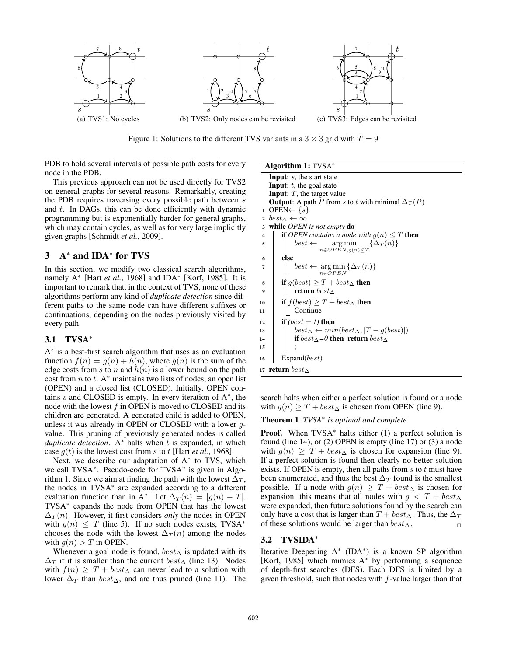

Figure 1: Solutions to the different TVS variants in a  $3 \times 3$  grid with  $T = 9$ 

PDB to hold several intervals of possible path costs for every node in the PDB.

This previous approach can not be used directly for TVS2 on general graphs for several reasons. Remarkably, creating the PDB requires traversing every possible path between s and  $t$ . In DAGs, this can be done efficiently with dynamic programming but is exponentially harder for general graphs, which may contain cycles, as well as for very large implicitly given graphs [Schmidt *et al.*, 2009].

# 3 A<sup>∗</sup> and IDA<sup>∗</sup> for TVS

In this section, we modify two classical search algorithms, namely A<sup>∗</sup> [Hart *et al.*, 1968] and IDA<sup>∗</sup> [Korf, 1985]. It is important to remark that, in the context of TVS, none of these algorithms perform any kind of *duplicate detection* since different paths to the same node can have different suffixes or continuations, depending on the nodes previously visited by every path.

# 3.1 TVSA<sup>∗</sup>

A ∗ is a best-first search algorithm that uses as an evaluation function  $f(n) = g(n) + h(n)$ , where  $g(n)$  is the sum of the edge costs from s to n and  $h(n)$  is a lower bound on the path cost from  $n$  to  $t$ . A<sup>\*</sup> maintains two lists of nodes, an open list (OPEN) and a closed list (CLOSED). Initially, OPEN contains  $s$  and CLOSED is empty. In every iteration of  $A^*$ , the node with the lowest  $f$  in OPEN is moved to CLOSED and its children are generated. A generated child is added to OPEN, unless it was already in OPEN or CLOSED with a lower gvalue. This pruning of previously generated nodes is called *duplicate detection.* A<sup>∗</sup> halts when t is expanded, in which case  $g(t)$  is the lowest cost from s to t [Hart *et al.*, 1968].

Next, we describe our adaptation of A<sup>∗</sup> to TVS, which we call TVSA<sup>\*</sup>. Pseudo-code for TVSA<sup>\*</sup> is given in Algorithm 1. Since we aim at finding the path with the lowest  $\Delta_T$ , the nodes in TVSA<sup>∗</sup> are expanded according to a different evaluation function than in A<sup>∗</sup>. Let  $\Delta_T(n) = |g(n) - T|$ . TVSA<sup>∗</sup> expands the node from OPEN that has the lowest  $\Delta_T(n)$ . However, it first considers *only* the nodes in OPEN with  $g(n) \leq T$  (line 5). If no such nodes exists, TVSA<sup>\*</sup> chooses the node with the lowest  $\Delta_T(n)$  among the nodes with  $q(n) > T$  in OPEN.

Whenever a goal node is found,  $best_\Delta$  is updated with its  $\Delta_T$  if it is smaller than the current  $best_\Delta$  (line 13). Nodes with  $f(n) \geq T + best_{\Delta}$  can never lead to a solution with lower  $\Delta_T$  than  $best_\Delta$ , and are thus pruned (line 11). The

#### Algorithm 1: TVSA<sup>∗</sup>

**Input:**  $s$ , the start state **Input:**  $t$ , the goal state **Input:**  $T$ , the target value **Output:** A path P from s to t with minimal  $\Delta_T(P)$ 1 OPEN←  $\{s\}$ 2  $best_\Delta \leftarrow \infty$ <sup>3</sup> while *OPEN is not empty* do 4 **if** *OPEN contains a node with*  $g(n) \leq T$  **then**  $\mathfrak{s}$  best  $\leftarrow \argmin_{n \in OPEN, g(n) \leq T} \{\Delta_T(n)\}$  $6$  else  $\sigma$  best  $\leftarrow \argmin_{n \in OPER} {\{\Delta_T(n)\}}$ 8 if  $g(best) \geq T + best \Delta$  then 9 | | **return** best<sub>∆</sub> 10 if  $f(best) \geq T + best_{\Delta}$  then <sup>11</sup> Continue 12 if  $(best = t)$  then 13 | best $\Delta \leftarrow min(best \Delta, |T - g(best)|)$ 14 **if** best<sub>∆</sub>=0 **then return** best<sub>△</sub> <sup>15</sup> ; 16 Expand( $best$ ) 17 return  $best_\Delta$ 

search halts when either a perfect solution is found or a node with  $g(n) \geq T + best_{\Delta}$  is chosen from OPEN (line 9).

Theorem 1 *TVSA*<sup>∗</sup> *is optimal and complete.*

Proof. When TVSA<sup>∗</sup> halts either (1) a perfect solution is found (line 14), or (2) OPEN is empty (line 17) or (3) a node with  $g(n) \geq T + best_{\Delta}$  is chosen for expansion (line 9). If a perfect solution is found then clearly no better solution exists. If OPEN is empty, then all paths from  $s$  to  $t$  must have been enumerated, and thus the best  $\Delta_T$  found is the smallest possible. If a node with  $g(n) \geq T + best_{\Delta}$  is chosen for expansion, this means that all nodes with  $g < T + best_{\Delta}$ were expanded, then future solutions found by the search can only have a cost that is larger than  $T + best_{\Delta}$ . Thus, the  $\Delta_T$ of these solutions would be larger than  $best_\Delta$ .

### 3.2 TVSIDA<sup>∗</sup>

Iterative Deepening A<sup>∗</sup> (IDA<sup>∗</sup> ) is a known SP algorithm [Korf, 1985] which mimics A<sup>\*</sup> by performing a sequence of depth-first searches (DFS). Each DFS is limited by a given threshold, such that nodes with  $f$ -value larger than that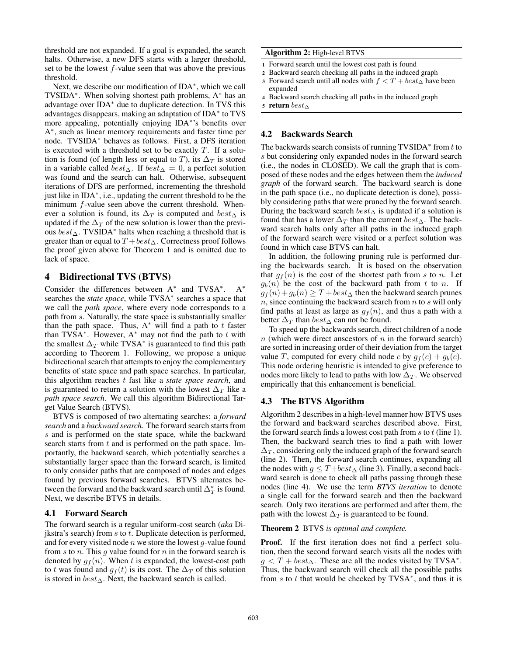threshold are not expanded. If a goal is expanded, the search halts. Otherwise, a new DFS starts with a larger threshold, set to be the lowest  $f$ -value seen that was above the previous threshold.

Next, we describe our modification of IDA<sup>\*</sup>, which we call TVSIDA<sup>∗</sup> . When solving shortest path problems, A<sup>∗</sup> has an advantage over IDA<sup>∗</sup> due to duplicate detection. In TVS this advantages disappears, making an adaptation of IDA<sup>∗</sup> to TVS more appealing, potentially enjoying IDA<sup>∗</sup> 's benefits over A ∗ , such as linear memory requirements and faster time per node. TVSIDA<sup>∗</sup> behaves as follows. First, a DFS iteration is executed with a threshold set to be exactly  $T$ . If a solution is found (of length less or equal to T), its  $\Delta_T$  is stored in a variable called  $best_\Delta$ . If  $best_\Delta = 0$ , a perfect solution was found and the search can halt. Otherwise, subsequent iterations of DFS are performed, incrementing the threshold just like in IDA<sup>∗</sup> , i.e., updating the current threshold to be the minimum  $f$ -value seen above the current threshold. Whenever a solution is found, its  $\Delta_T$  is computed and  $best_\Delta$  is updated if the  $\Delta_T$  of the new solution is lower than the previous  $best_\Delta$ . TVSIDA<sup>\*</sup> halts when reaching a threshold that is greater than or equal to  $T + best_\Delta$ . Correctness proof follows the proof given above for Theorem 1 and is omitted due to lack of space.

# 4 Bidirectional TVS (BTVS)

Consider the differences between A<sup>∗</sup> and TVSA<sup>∗</sup> . A<sup>∗</sup> searches the *state space*, while TVSA<sup>∗</sup> searches a space that we call the *path space*, where every node corresponds to a path from s. Naturally, the state space is substantially smaller than the path space. Thus,  $A^*$  will find a path to t faster than TVSA<sup>\*</sup>. However, A<sup>\*</sup> may not find the path to t with the smallest  $\Delta_T$  while TVSA<sup>\*</sup> is guaranteed to find this path according to Theorem 1. Following, we propose a unique bidirectional search that attempts to enjoy the complementary benefits of state space and path space searches. In particular, this algorithm reaches t fast like a *state space search*, and is guaranteed to return a solution with the lowest  $\Delta_T$  like a *path space search*. We call this algorithm Bidirectional Target Value Search (BTVS).

BTVS is composed of two alternating searches: a *forward search* and a *backward search*. The forward search starts from s and is performed on the state space, while the backward search starts from  $t$  and is performed on the path space. Importantly, the backward search, which potentially searches a substantially larger space than the forward search, is limited to only consider paths that are composed of nodes and edges found by previous forward searches. BTVS alternates between the forward and the backward search until  $\Delta_T^*$  is found. Next, we describe BTVS in details.

### 4.1 Forward Search

The forward search is a regular uniform-cost search (*aka* Dijkstra's search) from  $s$  to  $t$ . Duplicate detection is performed, and for every visited node  $n$  we store the lowest  $g$ -value found from s to n. This g value found for n in the forward search is denoted by  $g_f(n)$ . When t is expanded, the lowest-cost path to t was found and  $g_f(t)$  is its cost. The  $\Delta_T$  of this solution is stored in  $best_\Delta$ . Next, the backward search is called.

Algorithm 2: High-level BTVS

- <sup>1</sup> Forward search until the lowest cost path is found
- <sup>2</sup> Backward search checking all paths in the induced graph
- 3 Forward search until all nodes with  $f < T + best_{\Delta}$  have been expanded
- <sup>4</sup> Backward search checking all paths in the induced graph
- <sup>5</sup> return best<sup>∆</sup>

## 4.2 Backwards Search

The backwards search consists of running TVSIDA<sup>\*</sup> from  $t$  to s but considering only expanded nodes in the forward search (i.e., the nodes in CLOSED). We call the graph that is composed of these nodes and the edges between them the *induced graph* of the forward search. The backward search is done in the path space (i.e., no duplicate detection is done), possibly considering paths that were pruned by the forward search. During the backward search  $best_\Delta$  is updated if a solution is found that has a lower  $\Delta_T$  than the current  $best_\Delta$ . The backward search halts only after all paths in the induced graph of the forward search were visited or a perfect solution was found in which case BTVS can halt.

In addition, the following pruning rule is performed during the backwards search. It is based on the observation that  $g_f(n)$  is the cost of the shortest path from s to n. Let  $g_b(n)$  be the cost of the backward path from t to n. If  $g_f(n) + g_b(n) \geq T + best_{\Delta}$  then the backward search prunes  $n$ , since continuing the backward search from  $n$  to  $s$  will only find paths at least as large as  $g_f(n)$ , and thus a path with a better  $\Delta_T$  than  $best_\Delta$  can not be found.

To speed up the backwards search, direct children of a node  $n$  (which were direct anscestors of  $n$  in the forward search) are sorted in increasing order of their deviation from the target value T, computed for every child node c by  $g_f(c) + g_b(c)$ . This node ordering heuristic is intended to give preference to nodes more likely to lead to paths with low  $\Delta_T$ . We observed empirically that this enhancement is beneficial.

### 4.3 The BTVS Algorithm

Algorithm 2 describes in a high-level manner how BTVS uses the forward and backward searches described above. First, the forward search finds a lowest cost path from  $s$  to  $t$  (line 1). Then, the backward search tries to find a path with lower  $\Delta_T$ , considering only the induced graph of the forward search (line 2). Then, the forward search continues, expanding all the nodes with  $g \leq T + best_{\Delta}$  (line 3). Finally, a second backward search is done to check all paths passing through these nodes (line 4). We use the term *BTVS iteration* to denote a single call for the forward search and then the backward search. Only two iterations are performed and after them, the path with the lowest  $\Delta_T$  is guaranteed to be found.

### Theorem 2 BTVS *is optimal and complete.*

Proof. If the first iteration does not find a perfect solution, then the second forward search visits all the nodes with  $g < T + best_{\Delta}$ . These are all the nodes visited by TVSA<sup>\*</sup>. Thus, the backward search will check all the possible paths from s to t that would be checked by TVSA<sup> $*$ </sup>, and thus it is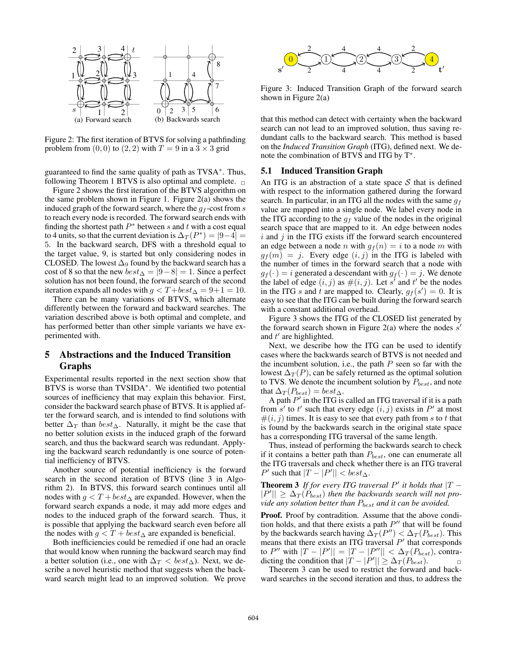

Figure 2: The first iteration of BTVS for solving a pathfinding problem from  $(0, 0)$  to  $(2, 2)$  with  $T = 9$  in a  $3 \times 3$  grid

guaranteed to find the same quality of path as TVSA<sup>\*</sup>. Thus, following Theorem 1 BTVS is also optimal and complete.  $\Box$ 

Figure 2 shows the first iteration of the BTVS algorithm on the same problem shown in Figure 1. Figure 2(a) shows the induced graph of the forward search, where the  $g_f$ -cost from  $s$ to reach every node is recorded. The forward search ends with finding the shortest path  $P^*$  between s and t with a cost equal to 4 units, so that the current deviation is  $\Delta_T(P^*) = |9-4| =$ 5. In the backward search, DFS with a threshold equal to the target value, 9, is started but only considering nodes in CLOSED. The lowest  $\Delta_9$  found by the backward search has a cost of 8 so that the new  $best_{\Delta} = |9-8| = 1$ . Since a perfect solution has not been found, the forward search of the second iteration expands all nodes with  $g < T + best_\Delta = 9 + 1 = 10$ .

There can be many variations of BTVS, which alternate differently between the forward and backward searches. The variation described above is both optimal and complete, and has performed better than other simple variants we have experimented with.

# 5 Abstractions and the Induced Transition Graphs

Experimental results reported in the next section show that BTVS is worse than TVSIDA<sup>\*</sup>. We identified two potential sources of inefficiency that may explain this behavior. First, consider the backward search phase of BTVS. It is applied after the forward search, and is intended to find solutions with better  $\Delta_T$  than  $best_\Delta$ . Naturally, it might be the case that no better solution exists in the induced graph of the forward search, and thus the backward search was redundant. Applying the backward search redundantly is one source of potential inefficiency of BTVS.

Another source of potential inefficiency is the forward search in the second iteration of BTVS (line 3 in Algorithm 2). In BTVS, this forward search continues until all nodes with  $g < T + best_\Delta$  are expanded. However, when the forward search expands a node, it may add more edges and nodes to the induced graph of the forward search. Thus, it is possible that applying the backward search even before all the nodes with  $g < T + best_\Delta$  are expanded is beneficial.

Both inefficiencies could be remedied if one had an oracle that would know when running the backward search may find a better solution (i.e., one with  $\Delta_T < \text{best}_{\Delta}$ ). Next, we describe a novel heuristic method that suggests when the backward search might lead to an improved solution. We prove



Figure 3: Induced Transition Graph of the forward search shown in Figure 2(a)

that this method can detect with certainty when the backward search can not lead to an improved solution, thus saving redundant calls to the backward search. This method is based on the *Induced Transition Graph* (ITG), defined next. We denote the combination of BTVS and ITG by T<sup>∗</sup>.

## 5.1 Induced Transition Graph

An ITG is an abstraction of a state space  $S$  that is defined with respect to the information gathered during the forward search. In particular, in an ITG all the nodes with the same  $g_f$ value are mapped into a single node. We label every node in the ITG according to the  $g_f$  value of the nodes in the original search space that are mapped to it. An edge between nodes  $i$  and  $j$  in the ITG exists iff the forward search encountered an edge between a node n with  $g_f(n) = i$  to a node m with  $g_f(m) = j$ . Every edge  $(i, j)$  in the ITG is labeled with the number of times in the forward search that a node with  $g_f(\cdot) = i$  generated a descendant with  $g_f(\cdot) = j$ . We denote the label of edge  $(i, j)$  as  $\#(i, j)$ . Let s' and t' be the nodes in the ITG s and t are mapped to. Clearly,  $g_f(s') = 0$ . It is easy to see that the ITG can be built during the forward search with a constant additional overhead.

Figure 3 shows the ITG of the CLOSED list generated by the forward search shown in Figure 2(a) where the nodes  $s'$ and  $t'$  are highlighted.

Next, we describe how the ITG can be used to identify cases where the backwards search of BTVS is not needed and the incumbent solution, i.e., the path  $P$  seen so far with the lowest  $\Delta_T(P)$ , can be safely returned as the optimal solution to TVS. We denote the incumbent solution by  $P_{best}$ , and note that  $\Delta_T(P_{best}) = best_{\Delta}$ .

A path  $P'$  in the ITG is called an ITG traversal if it is a path from s' to t' such that every edge  $(i, j)$  exists in P' at most  $\#(i, j)$  times. It is easy to see that every path from s to t that is found by the backwards search in the original state space has a corresponding ITG traversal of the same length.

Thus, instead of performing the backwards search to check if it contains a better path than  $P_{best}$ , one can enumerate all the ITG traversals and check whether there is an ITG traveral  $P'$  such that  $|T - |P'| < \theta est_{\Delta}$ .

**Theorem 3** If for every ITG traversal  $P'$  it holds that  $|T - T|$  $||P'|| \geq \Delta_T(P_{best})$  then the backwards search will not pro*vide any solution better than*  $P_{best}$  *and it can be avoided.* 

Proof. Proof by contradition. Assume that the above condition holds, and that there exists a path  $P''$  that will be found by the backwards search having  $\Delta_T(P'') < \Delta_T(P_{best})$ . This means that there exists an ITG traversal  $P'$  that corresponds to  $P''$  with  $|T - |P'| = |T - |P''|| < \Delta_T(P_{best})$ , contradicting the condition that  $|T - |P'| \geq \Delta_T(P_{best})$ .

Theorem 3 can be used to restrict the forward and backward searches in the second iteration and thus, to address the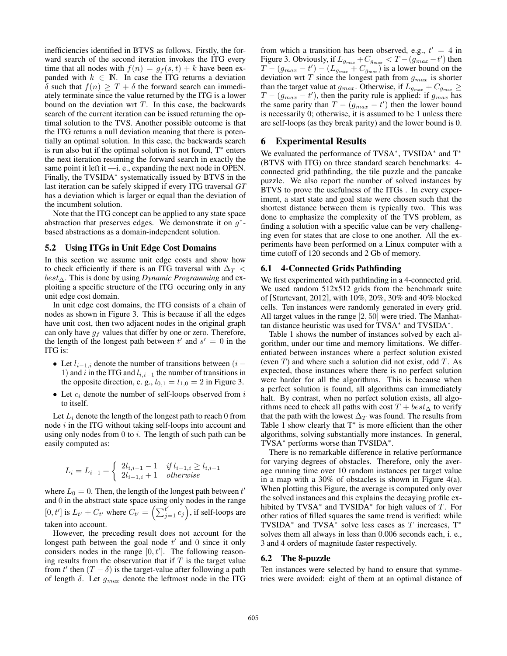inefficiencies identified in BTVS as follows. Firstly, the forward search of the second iteration invokes the ITG every time that all nodes with  $f(n) = g_f(s,t) + k$  have been expanded with  $k \in \mathbb{N}$ . In case the ITG returns a deviation δ such that  $f(n) \geq T + \delta$  the forward search can immediately terminate since the value returned by the ITG is a lower bound on the deviation wrt  $T$ . In this case, the backwards search of the current iteration can be issued returning the optimal solution to the TVS. Another possible outcome is that the ITG returns a null deviation meaning that there is potentially an optimal solution. In this case, the backwards search is run also but if the optimal solution is not found,  $T^*$  enters the next iteration resuming the forward search in exactly the same point it left it —i. e., expanding the next node in OPEN. Finally, the TVSIDA<sup>∗</sup> systematically issued by BTVS in the last iteration can be safely skipped if every ITG traversal *GT* has a deviation which is larger or equal than the deviation of the incumbent solution.

Note that the ITG concept can be applied to any state space abstraction that preserves edges. We demonstrate it on  $g^*$ based abstractions as a domain-independent solution.

#### 5.2 Using ITGs in Unit Edge Cost Domains

In this section we assume unit edge costs and show how to check efficiently if there is an ITG traversal with  $\Delta_T$ best∆. This is done by using *Dynamic Programming* and exploiting a specific structure of the ITG occuring only in any unit edge cost domain.

In unit edge cost domains, the ITG consists of a chain of nodes as shown in Figure 3. This is because if all the edges have unit cost, then two adjacent nodes in the original graph can only have  $g_f$  values that differ by one or zero. Therefore, the length of the longest path between  $t'$  and  $s' = 0$  in the ITG is:

- Let  $l_{i-1,i}$  denote the number of transitions between  $(i -$ 1) and i in the ITG and  $l_{i,i-1}$  the number of transitions in the opposite direction, e. g.,  $l_{0,1} = l_{1,0} = 2$  in Figure 3.
- Let  $c_i$  denote the number of self-loops observed from  $i$ to itself.

Let  $L_i$  denote the length of the longest path to reach 0 from node  $i$  in the ITG without taking self-loops into account and using only nodes from  $\theta$  to i. The length of such path can be easily computed as:

$$
L_i = L_{i-1} + \begin{cases} 2l_{i,i-1} - 1 & if \ l_{i-1,i} \ge l_{i,i-1} \\ 2l_{i-1,i} + 1 & otherwise \end{cases}
$$

where  $L_0 = 0$ . Then, the length of the longest path between  $t'$ and 0 in the abstract state space using only nodes in the range  $[0, t']$  is  $L_{t'} + C_{t'}$  where  $C_{t'} = \left(\sum_{j=1}^{t'} c_j\right)$ , if self-loops are taken into account.

However, the preceding result does not account for the longest path between the goal node  $t'$  and 0 since it only considers nodes in the range  $[0, t']$ . The following reasoning results from the observation that if  $T$  is the target value from t' then  $(T - \delta)$  is the target-value after following a path of length  $\delta$ . Let  $g_{max}$  denote the leftmost node in the ITG

from which a transition has been observed, e.g.,  $t' = 4$  in Figure 3. Obviously, if  $L_{g_{max}} + C_{g_{max}} < T - (g_{max} - t')$  then  $T - (g_{max} - t') - (L_{g_{max}} + C_{g_{max}})$  is a lower bound on the deviation wrt T since the longest path from  $g_{max}$  is shorter than the target value at  $g_{max}$ . Otherwise, if  $L_{g_{max}} + C_{g_{max}} \ge$  $T - (g_{max} - t')$ , then the parity rule is applied: if  $g_{max}$  has the same parity than  $T - (g_{max} - t')$  then the lower bound is necessarily 0; otherwise, it is assumed to be 1 unless there are self-loops (as they break parity) and the lower bound is 0.

## 6 Experimental Results

We evaluated the performance of TVSA<sup>\*</sup>, TVSIDA<sup>\*</sup> and T<sup>\*</sup> (BTVS with ITG) on three standard search benchmarks: 4 connected grid pathfinding, the tile puzzle and the pancake puzzle. We also report the number of solved instances by BTVS to prove the usefulness of the ITGs . In every experiment, a start state and goal state were chosen such that the shortest distance between them is typically two. This was done to emphasize the complexity of the TVS problem, as finding a solution with a specific value can be very challenging even for states that are close to one another. All the experiments have been performed on a Linux computer with a time cutoff of 120 seconds and 2 Gb of memory.

### 6.1 4-Connected Grids Pathfinding

We first experimented with pathfinding in a 4-connected grid. We used random 512x512 grids from the benchmark suite of [Sturtevant, 2012], with 10%, 20%, 30% and 40% blocked cells. Ten instances were randomly generated in every grid. All target values in the range [2, 50] were tried. The Manhattan distance heuristic was used for TVSA<sup>\*</sup> and TVSIDA<sup>\*</sup>.

Table 1 shows the number of instances solved by each algorithm, under our time and memory limitations. We differentiated between instances where a perfect solution existed (even  $T$ ) and where such a solution did not exist, odd  $T$ . As expected, those instances where there is no perfect solution were harder for all the algorithms. This is because when a perfect solution is found, all algorithms can immediately halt. By contrast, when no perfect solution exists, all algorithms need to check all paths with cost  $T + best_{\Delta}$  to verify that the path with the lowest  $\Delta_T$  was found. The results from Table 1 show clearly that T<sup>∗</sup> is more efficient than the other algorithms, solving substantially more instances. In general, TVSA<sup>∗</sup> performs worse than TVSIDA<sup>∗</sup> .

There is no remarkable difference in relative performance for varying degrees of obstacles. Therefore, only the average running time over 10 random instances per target value in a map with a 30% of obstacles is shown in Figure 4(a). When plotting this Figure, the average is computed only over the solved instances and this explains the decaying profile exhibited by TVSA<sup>\*</sup> and TVSIDA<sup>\*</sup> for high values of  $T$ . For other ratios of filled squares the same trend is verified: while TVSIDA<sup>\*</sup> and TVSA<sup>\*</sup> solve less cases as T increases, T<sup>\*</sup> solves them all always in less than 0.006 seconds each, i. e., 3 and 4 orders of magnitude faster respectively.

### 6.2 The 8-puzzle

Ten instances were selected by hand to ensure that symmetries were avoided: eight of them at an optimal distance of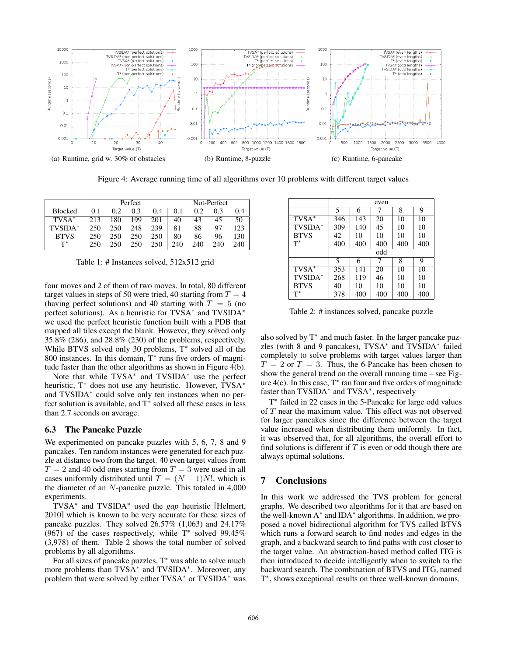

Figure 4: Average running time of all algorithms over 10 problems with different target values

|                | Perfect |     |     |     | Not-Perfect |     |     |     |
|----------------|---------|-----|-----|-----|-------------|-----|-----|-----|
| <b>Blocked</b> | 0.1     | 0.2 | 0.3 | 0.4 | 0.1         | 0.2 | 0 3 | 0.4 |
| $TVSA*$        | 213     | 180 | 199 | 201 | 40          | 43  | 45  | 50  |
| TVSIDA*        | 250     | 250 | 248 | 239 | 81          | 88  | 97  | 123 |
| <b>BTVS</b>    | 250     | 250 | 250 | 250 | 80          | 86  | 96  | 130 |
| $T^*$          | 250     | 250 | 250 | 250 | 240         | 240 | 240 | 240 |

Table 1: # Instances solved, 512x512 grid

four moves and 2 of them of two moves. In total, 80 different target values in steps of 50 were tried, 40 starting from  $T = 4$ (having perfect solutions) and 40 starting with  $T = 5$  (no perfect solutions). As a heuristic for TVSA<sup>\*</sup> and TVSIDA<sup>\*</sup> we used the perfect heuristic function built with a PDB that mapped all tiles except the blank. However, they solved only 35.8% (286), and 28.8% (230) of the problems, respectively. While BTVS solved only 30 problems, T<sup>∗</sup> solved all of the 800 instances. In this domain, T<sup>∗</sup> runs five orders of magnitude faster than the other algorithms as shown in Figure 4(b).

Note that while TVSA<sup>∗</sup> and TVSIDA<sup>∗</sup> use the perfect heuristic, T<sup>\*</sup> does not use any heuristic. However, TVSA<sup>\*</sup> and TVSIDA<sup>∗</sup> could solve only ten instances when no perfect solution is available, and  $T^*$  solved all these cases in less than 2.7 seconds on average.

### 6.3 The Pancake Puzzle

We experimented on pancake puzzles with 5, 6, 7, 8 and 9 pancakes. Ten random instances were generated for each puzzle at distance two from the target. 40 even target values from  $T = 2$  and 40 odd ones starting from  $T = 3$  were used in all cases uniformly distributed until  $T = (N - 1)N!$ , which is the diameter of an  $N$ -pancake puzzle. This totaled in  $4,000$ experiments.

TVSA<sup>∗</sup> and TVSIDA<sup>∗</sup> used the *gap* heuristic [Helmert, 2010] which is known to be very accurate for these sizes of pancake puzzles. They solved 26.57% (1,063) and 24.17% (967) of the cases respectively, while  $T^*$  solved 99.45% (3,978) of them. Table 2 shows the total number of solved problems by all algorithms.

For all sizes of pancake puzzles, T<sup>∗</sup> was able to solve much more problems than TVSA<sup>\*</sup> and TVSIDA<sup>\*</sup>. Moreover, any problem that were solved by either TVSA<sup>∗</sup> or TVSIDA<sup>∗</sup> was

|             | even |     |     |     |     |  |  |  |  |
|-------------|------|-----|-----|-----|-----|--|--|--|--|
|             | 5    | 6   |     | 8   | 9   |  |  |  |  |
| $TVSA^*$    | 346  | 143 | 20  | 10  | 10  |  |  |  |  |
| TVSIDA*     | 309  | 140 | 45  | 10  | 10  |  |  |  |  |
| <b>BTVS</b> | 42   | 10  | 10  | 10  | 10  |  |  |  |  |
| $T^*$       | 400  | 400 | 400 | 400 | 400 |  |  |  |  |
|             | odd  |     |     |     |     |  |  |  |  |
|             | 5    | 6   |     | 8   | 9   |  |  |  |  |
| $TVSA^*$    | 353  | 141 | 20  | 10  | 10  |  |  |  |  |
| TVSIDA*     | 268  | 119 | 46  | 10  | 10  |  |  |  |  |
| <b>BTVS</b> | 40   | 10  | 10  | 10  | 10  |  |  |  |  |
| $T^*$       | 378  | 400 | 400 | 400 | 400 |  |  |  |  |

Table 2: # instances solved, pancake puzzle

also solved by T<sup>∗</sup> and much faster. In the larger pancake puzzles (with 8 and 9 pancakes), TVSA<sup>∗</sup> and TVSIDA<sup>∗</sup> failed completely to solve problems with target values larger than  $T = 2$  or  $T = 3$ . Thus, the 6-Pancake has been chosen to show the general trend on the overall running time – see Figure  $4(c)$ . In this case,  $T^*$  ran four and five orders of magnitude faster than TVSIDA<sup>\*</sup> and TVSA<sup>\*</sup>, respectively

T ∗ failed in 22 cases in the 5-Pancake for large odd values of T near the maximum value. This effect was not observed for larger pancakes since the difference between the target value increased when distributing them uniformly. In fact, it was observed that, for all algorithms, the overall effort to find solutions is different if  $T$  is even or odd though there are always optimal solutions.

# 7 Conclusions

In this work we addressed the TVS problem for general graphs. We described two algorithms for it that are based on the well-known A<sup>∗</sup> and IDA<sup>∗</sup> algorithms. In addition, we proposed a novel bidirectional algorithm for TVS called BTVS which runs a forward search to find nodes and edges in the graph, and a backward search to find paths with cost closer to the target value. An abstraction-based method called ITG is then introduced to decide intelligently when to switch to the backward search. The combination of BTVS and ITG, named T<sup>\*</sup>, shows exceptional results on three well-known domains.